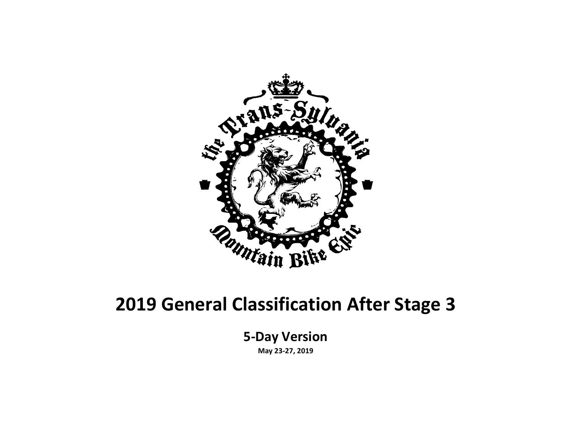

### **2019 General Classification After Stage 3**

**5-Day Version**

**May 23-27, 2019**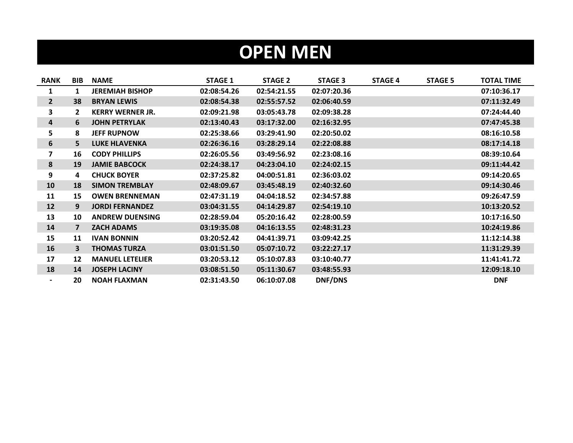## **OPEN MEN**

| <b>RANK</b>  | <b>BIB</b>     | <b>NAME</b>             | <b>STAGE 1</b> | <b>STAGE 2</b> | <b>STAGE 3</b> | <b>STAGE 4</b> | <b>STAGE 5</b> | <b>TOTAL TIME</b> |
|--------------|----------------|-------------------------|----------------|----------------|----------------|----------------|----------------|-------------------|
| 1            | 1              | <b>JEREMIAH BISHOP</b>  | 02:08:54.26    | 02:54:21.55    | 02:07:20.36    |                |                | 07:10:36.17       |
| $\mathbf{2}$ | 38             | <b>BRYAN LEWIS</b>      | 02:08:54.38    | 02:55:57.52    | 02:06:40.59    |                |                | 07:11:32.49       |
| 3            | $\mathbf{2}$   | <b>KERRY WERNER JR.</b> | 02:09:21.98    | 03:05:43.78    | 02:09:38.28    |                |                | 07:24:44.40       |
| 4            | 6              | <b>JOHN PETRYLAK</b>    | 02:13:40.43    | 03:17:32.00    | 02:16:32.95    |                |                | 07:47:45.38       |
| 5            | 8              | <b>JEFF RUPNOW</b>      | 02:25:38.66    | 03:29:41.90    | 02:20:50.02    |                |                | 08:16:10.58       |
| 6            | 5.             | <b>LUKE HLAVENKA</b>    | 02:26:36.16    | 03:28:29.14    | 02:22:08.88    |                |                | 08:17:14.18       |
| 7            | 16             | <b>CODY PHILLIPS</b>    | 02:26:05.56    | 03:49:56.92    | 02:23:08.16    |                |                | 08:39:10.64       |
| 8            | 19             | <b>JAMIE BABCOCK</b>    | 02:24:38.17    | 04:23:04.10    | 02:24:02.15    |                |                | 09:11:44.42       |
| 9            | 4              | <b>CHUCK BOYER</b>      | 02:37:25.82    | 04:00:51.81    | 02:36:03.02    |                |                | 09:14:20.65       |
| 10           | 18             | <b>SIMON TREMBLAY</b>   | 02:48:09.67    | 03:45:48.19    | 02:40:32.60    |                |                | 09:14:30.46       |
| 11           | 15             | <b>OWEN BRENNEMAN</b>   | 02:47:31.19    | 04:04:18.52    | 02:34:57.88    |                |                | 09:26:47.59       |
| 12           | 9              | <b>JORDI FERNANDEZ</b>  | 03:04:31.55    | 04:14:29.87    | 02:54:19.10    |                |                | 10:13:20.52       |
| 13           | 10             | <b>ANDREW DUENSING</b>  | 02:28:59.04    | 05:20:16.42    | 02:28:00.59    |                |                | 10:17:16.50       |
| 14           | $\overline{7}$ | <b>ZACH ADAMS</b>       | 03:19:35.08    | 04:16:13.55    | 02:48:31.23    |                |                | 10:24:19.86       |
| 15           | 11             | <b>IVAN BONNIN</b>      | 03:20:52.42    | 04:41:39.71    | 03:09:42.25    |                |                | 11:12:14.38       |
| 16           | 3              | <b>THOMAS TURZA</b>     | 03:01:51.50    | 05:07:10.72    | 03:22:27.17    |                |                | 11:31:29.39       |
| 17           | 12             | <b>MANUEL LETELIER</b>  | 03:20:53.12    | 05:10:07.83    | 03:10:40.77    |                |                | 11:41:41.72       |
| 18           | 14             | <b>JOSEPH LACINY</b>    | 03:08:51.50    | 05:11:30.67    | 03:48:55.93    |                |                | 12:09:18.10       |
|              | 20             | <b>NOAH FLAXMAN</b>     | 02:31:43.50    | 06:10:07.08    | DNF/DNS        |                |                | <b>DNF</b>        |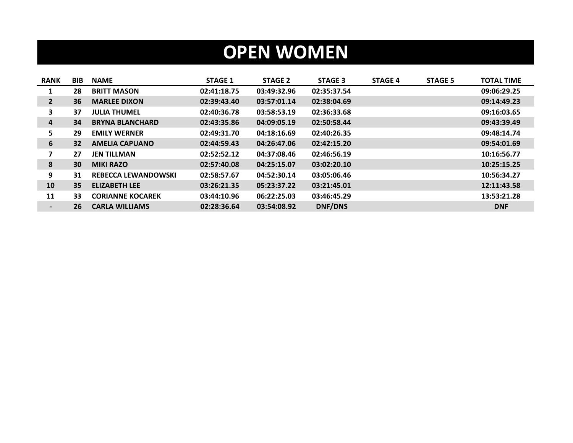# **OPEN WOMEN**

| <b>RANK</b>              | <b>BIB</b> | <b>NAME</b>                | <b>STAGE 1</b> | <b>STAGE 2</b> | <b>STAGE 3</b> | <b>STAGE 4</b> | <b>STAGE 5</b> | <b>TOTAL TIME</b> |
|--------------------------|------------|----------------------------|----------------|----------------|----------------|----------------|----------------|-------------------|
| 1                        | 28         | <b>BRITT MASON</b>         | 02:41:18.75    | 03:49:32.96    | 02:35:37.54    |                |                | 09:06:29.25       |
| $\mathbf{2}$             | 36         | <b>MARLEE DIXON</b>        | 02:39:43.40    | 03:57:01.14    | 02:38:04.69    |                |                | 09:14:49.23       |
| 3.                       | 37         | <b>JULIA THUMEL</b>        | 02:40:36.78    | 03:58:53.19    | 02:36:33.68    |                |                | 09:16:03.65       |
| $\overline{a}$           | 34         | <b>BRYNA BLANCHARD</b>     | 02:43:35.86    | 04:09:05.19    | 02:50:58.44    |                |                | 09:43:39.49       |
| 5                        | 29         | <b>EMILY WERNER</b>        | 02:49:31.70    | 04:18:16.69    | 02:40:26.35    |                |                | 09:48:14.74       |
| 6                        | 32         | <b>AMELIA CAPUANO</b>      | 02:44:59.43    | 04:26:47.06    | 02:42:15.20    |                |                | 09:54:01.69       |
| 7                        | 27         | <b>JEN TILLMAN</b>         | 02:52:52.12    | 04:37:08.46    | 02:46:56.19    |                |                | 10:16:56.77       |
| 8                        | 30         | <b>MIKI RAZO</b>           | 02:57:40.08    | 04:25:15.07    | 03:02:20.10    |                |                | 10:25:15.25       |
| 9                        | 31         | <b>REBECCA LEWANDOWSKI</b> | 02:58:57.67    | 04:52:30.14    | 03:05:06.46    |                |                | 10:56:34.27       |
| 10                       | 35         | <b>ELIZABETH LEE</b>       | 03:26:21.35    | 05:23:37.22    | 03:21:45.01    |                |                | 12:11:43.58       |
| 11                       | 33         | <b>CORIANNE KOCAREK</b>    | 03:44:10.96    | 06:22:25.03    | 03:46:45.29    |                |                | 13:53:21.28       |
| $\overline{\phantom{0}}$ | 26         | <b>CARLA WILLIAMS</b>      | 02:28:36.64    | 03:54:08.92    | DNF/DNS        |                |                | <b>DNF</b>        |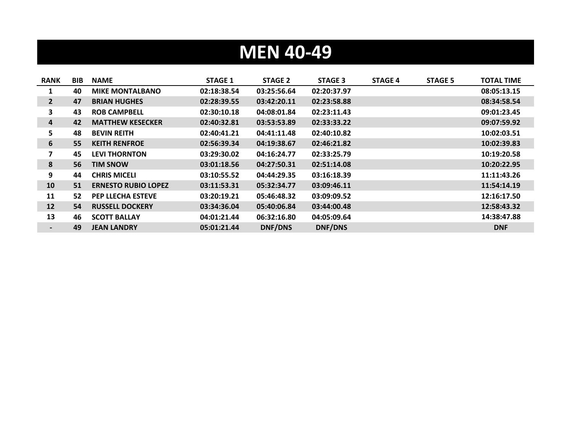## **MEN 40-49**

| <b>RANK</b> | <b>BIB</b> | <b>NAME</b>                | <b>STAGE 1</b> | <b>STAGE 2</b> | <b>STAGE 3</b> | <b>STAGE 4</b> | <b>STAGE 5</b> | <b>TOTAL TIME</b> |
|-------------|------------|----------------------------|----------------|----------------|----------------|----------------|----------------|-------------------|
| 1           | 40         | <b>MIKE MONTALBANO</b>     | 02:18:38.54    | 03:25:56.64    | 02:20:37.97    |                |                | 08:05:13.15       |
| $2^{\circ}$ | 47         | <b>BRIAN HUGHES</b>        | 02:28:39.55    | 03:42:20.11    | 02:23:58.88    |                |                | 08:34:58.54       |
| 3           | 43         | <b>ROB CAMPBELL</b>        | 02:30:10.18    | 04:08:01.84    | 02:23:11.43    |                |                | 09:01:23.45       |
| 4           | 42         | <b>MATTHEW KESECKER</b>    | 02:40:32.81    | 03:53:53.89    | 02:33:33.22    |                |                | 09:07:59.92       |
| 5           | 48         | <b>BEVIN REITH</b>         | 02:40:41.21    | 04:41:11.48    | 02:40:10.82    |                |                | 10:02:03.51       |
| 6           | 55         | <b>KEITH RENFROE</b>       | 02:56:39.34    | 04:19:38.67    | 02:46:21.82    |                |                | 10:02:39.83       |
| 7           | 45         | <b>LEVI THORNTON</b>       | 03:29:30.02    | 04:16:24.77    | 02:33:25.79    |                |                | 10:19:20.58       |
| 8           | 56         | <b>TIM SNOW</b>            | 03:01:18.56    | 04:27:50.31    | 02:51:14.08    |                |                | 10:20:22.95       |
| 9           | 44         | <b>CHRIS MICELI</b>        | 03:10:55.52    | 04:44:29.35    | 03:16:18.39    |                |                | 11:11:43.26       |
| 10          | 51         | <b>ERNESTO RUBIO LOPEZ</b> | 03:11:53.31    | 05:32:34.77    | 03:09:46.11    |                |                | 11:54:14.19       |
| 11          | 52         | <b>PEP LLECHA ESTEVE</b>   | 03:20:19.21    | 05:46:48.32    | 03:09:09.52    |                |                | 12:16:17.50       |
| 12          | 54         | <b>RUSSELL DOCKERY</b>     | 03:34:36.04    | 05:40:06.84    | 03:44:00.48    |                |                | 12:58:43.32       |
| 13          | 46         | <b>SCOTT BALLAY</b>        | 04:01:21.44    | 06:32:16.80    | 04:05:09.64    |                |                | 14:38:47.88       |
|             | 49         | <b>JEAN LANDRY</b>         | 05:01:21.44    | DNF/DNS        | <b>DNF/DNS</b> |                |                | <b>DNF</b>        |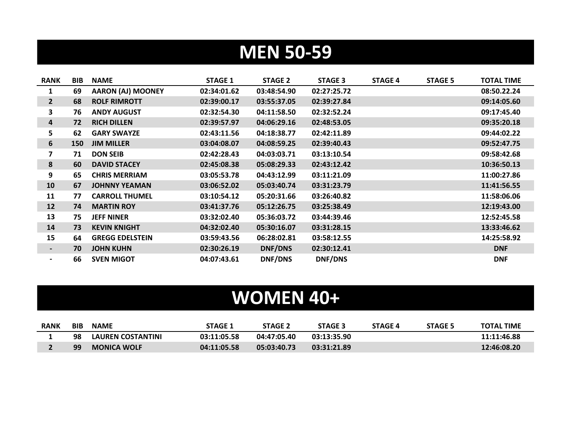# **MEN 50-59**

| <b>RANK</b>    | <b>BIB</b> | <b>NAME</b>              | <b>STAGE 1</b> | <b>STAGE 2</b> | <b>STAGE 3</b> | <b>STAGE 4</b> | <b>STAGE 5</b> | <b>TOTAL TIME</b> |
|----------------|------------|--------------------------|----------------|----------------|----------------|----------------|----------------|-------------------|
| 1              | 69         | <b>AARON (AJ) MOONEY</b> | 02:34:01.62    | 03:48:54.90    | 02:27:25.72    |                |                | 08:50.22.24       |
| $2^{\circ}$    | 68         | <b>ROLF RIMROTT</b>      | 02:39:00.17    | 03:55:37.05    | 02:39:27.84    |                |                | 09:14:05.60       |
| 3              | 76         | <b>ANDY AUGUST</b>       | 02:32:54.30    | 04:11:58.50    | 02:32:52.24    |                |                | 09:17:45.40       |
| 4              | 72         | <b>RICH DILLEN</b>       | 02:39:57.97    | 04:06:29.16    | 02:48:53.05    |                |                | 09:35:20.18       |
| 5              | 62         | <b>GARY SWAYZE</b>       | 02:43:11.56    | 04:18:38.77    | 02:42:11.89    |                |                | 09:44:02.22       |
| 6              | 150        | <b>JIM MILLER</b>        | 03:04:08.07    | 04:08:59.25    | 02:39:40.43    |                |                | 09:52:47.75       |
| 7              | 71         | <b>DON SEIB</b>          | 02:42:28.43    | 04:03:03.71    | 03:13:10.54    |                |                | 09:58:42.68       |
| 8              | 60         | <b>DAVID STACEY</b>      | 02:45:08.38    | 05:08:29.33    | 02:43:12.42    |                |                | 10:36:50.13       |
| 9              | 65         | <b>CHRIS MERRIAM</b>     | 03:05:53.78    | 04:43:12.99    | 03:11:21.09    |                |                | 11:00:27.86       |
| 10             | 67         | <b>JOHNNY YEAMAN</b>     | 03:06:52.02    | 05:03:40.74    | 03:31:23.79    |                |                | 11:41:56.55       |
| 11             | 77         | <b>CARROLL THUMEL</b>    | 03:10:54.12    | 05:20:31.66    | 03:26:40.82    |                |                | 11:58:06.06       |
| 12             | 74         | <b>MARTIN ROY</b>        | 03:41:37.76    | 05:12:26.75    | 03:25:38.49    |                |                | 12:19:43.00       |
| 13             | 75         | <b>JEFF NINER</b>        | 03:32:02.40    | 05:36:03.72    | 03:44:39.46    |                |                | 12:52:45.58       |
| 14             | 73         | <b>KEVIN KNIGHT</b>      | 04:32:02.40    | 05:30:16.07    | 03:31:28.15    |                |                | 13:33:46.62       |
| 15             | 64         | <b>GREGG EDELSTEIN</b>   | 03:59:43.56    | 06:28:02.81    | 03:58:12.55    |                |                | 14:25:58.92       |
| $\blacksquare$ | 70         | <b>JOHN KUHN</b>         | 02:30:26.19    | <b>DNF/DNS</b> | 02:30:12.41    |                |                | <b>DNF</b>        |
|                | 66         | <b>SVEN MIGOT</b>        | 04:07:43.61    | DNF/DNS        | DNF/DNS        |                |                | <b>DNF</b>        |

## **WOMEN 40+**

| <b>RANK</b> | <b>BIB</b> | <b>NAME</b>        | STAGE 1     | STAGE 2     | <b>STAGE 3</b> | <b>STAGE 4</b> | <b>STAGE 5</b> | <b>TOTAL TIME</b> |
|-------------|------------|--------------------|-------------|-------------|----------------|----------------|----------------|-------------------|
|             | 98         | LAUREN COSTANTINI  | 03:11:05.58 | 04:47:05.40 | 03:13:35.90    |                |                | 11:11:46.88       |
|             | 99         | <b>MONICA WOLF</b> | 04:11:05.58 | 05:03:40.73 | 03:31:21.89    |                |                | 12:46:08.20       |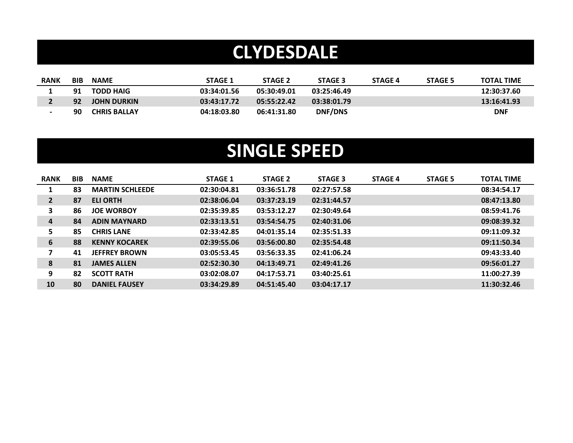### **CLYDESDALE**

| <b>RANK</b> | <b>BIB</b> | <b>NAME</b>         | <b>STAGE 1</b> | <b>STAGE 2</b> | <b>STAGE 3</b> | <b>STAGE 4</b> | <b>STAGE 5</b> | <b>TOTAL TIME</b> |
|-------------|------------|---------------------|----------------|----------------|----------------|----------------|----------------|-------------------|
|             | 91         | <b>TODD HAIG</b>    | 03:34:01.56    | 05:30:49.01    | 03:25:46.49    |                |                | 12:30:37.60       |
|             | 92         | <b>JOHN DURKIN</b>  | 03:43:17.72    | 05:55:22.42    | 03:38:01.79    |                |                | 13:16:41.93       |
|             | 90         | <b>CHRIS BALLAY</b> | 04:18:03.80    | 06:41:31.80    | <b>DNF/DNS</b> |                |                | <b>DNF</b>        |

### **SINGLE SPEED**

| <b>RANK</b> | <b>BIB</b> | <b>NAME</b>            | <b>STAGE 1</b> | STAGE 2     | <b>STAGE 3</b> | <b>STAGE 4</b> | <b>STAGE 5</b> | <b>TOTAL TIME</b> |
|-------------|------------|------------------------|----------------|-------------|----------------|----------------|----------------|-------------------|
| 1           | 83         | <b>MARTIN SCHLEEDE</b> | 02:30:04.81    | 03:36:51.78 | 02:27:57.58    |                |                | 08:34:54.17       |
| $2^{\circ}$ | 87         | <b>ELI ORTH</b>        | 02:38:06.04    | 03:37:23.19 | 02:31:44.57    |                |                | 08:47:13.80       |
| 3           | 86         | <b>JOE WORBOY</b>      | 02:35:39.85    | 03:53:12.27 | 02:30:49.64    |                |                | 08:59:41.76       |
| 4           | 84         | <b>ADIN MAYNARD</b>    | 02:33:13.51    | 03:54:54.75 | 02:40:31.06    |                |                | 09:08:39.32       |
| 5.          | 85         | <b>CHRIS LANE</b>      | 02:33:42.85    | 04:01:35.14 | 02:35:51.33    |                |                | 09:11:09.32       |
| 6           | 88         | <b>KENNY KOCAREK</b>   | 02:39:55.06    | 03:56:00.80 | 02:35:54.48    |                |                | 09:11:50.34       |
| 7           | 41         | <b>JEFFREY BROWN</b>   | 03:05:53.45    | 03:56:33.35 | 02:41:06.24    |                |                | 09:43:33.40       |
| 8           | 81         | <b>JAMES ALLEN</b>     | 02:52:30.30    | 04:13:49.71 | 02:49:41.26    |                |                | 09:56:01.27       |
| 9           | 82         | <b>SCOTT RATH</b>      | 03:02:08.07    | 04:17:53.71 | 03:40:25.61    |                |                | 11:00:27.39       |
| 10          | 80         | <b>DANIEL FAUSEY</b>   | 03:34:29.89    | 04:51:45.40 | 03:04:17.17    |                |                | 11:30:32.46       |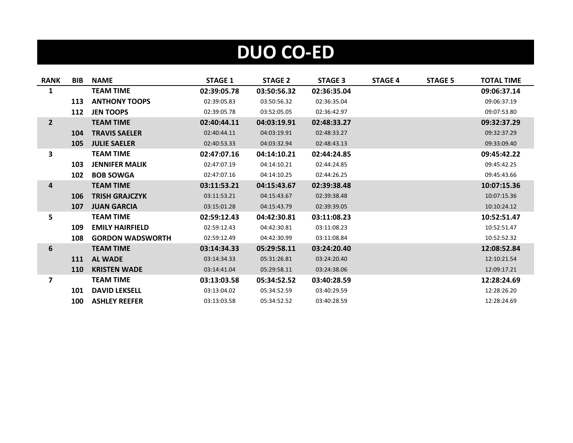# **DUO CO-ED**

| <b>RANK</b>             | <b>BIB</b> | <b>NAME</b>             | <b>STAGE 1</b> | <b>STAGE 2</b> | <b>STAGE 3</b> | <b>STAGE 4</b> | <b>STAGE 5</b> | <b>TOTAL TIME</b> |
|-------------------------|------------|-------------------------|----------------|----------------|----------------|----------------|----------------|-------------------|
| 1                       |            | <b>TEAM TIME</b>        | 02:39:05.78    | 03:50:56.32    | 02:36:35.04    |                |                | 09:06:37.14       |
|                         | 113        | <b>ANTHONY TOOPS</b>    | 02:39:05.83    | 03:50:56.32    | 02:36:35.04    |                |                | 09:06:37.19       |
|                         | 112        | <b>JEN TOOPS</b>        | 02:39:05.78    | 03:52:05.05    | 02:36:42.97    |                |                | 09:07:53.80       |
| $\overline{2}$          |            | <b>TEAM TIME</b>        | 02:40:44.11    | 04:03:19.91    | 02:48:33.27    |                |                | 09:32:37.29       |
|                         | 104        | <b>TRAVIS SAELER</b>    | 02:40:44.11    | 04:03:19.91    | 02:48:33.27    |                |                | 09:32:37.29       |
|                         | 105        | <b>JULIE SAELER</b>     | 02:40:53.33    | 04:03:32.94    | 02:48:43.13    |                |                | 09:33:09.40       |
| 3                       |            | <b>TEAM TIME</b>        | 02:47:07.16    | 04:14:10.21    | 02:44:24.85    |                |                | 09:45:42.22       |
|                         | 103        | <b>JENNIFER MALIK</b>   | 02:47:07.19    | 04:14:10.21    | 02:44:24.85    |                |                | 09:45:42.25       |
|                         | 102        | <b>BOB SOWGA</b>        | 02:47:07.16    | 04:14:10.25    | 02:44:26.25    |                |                | 09:45:43.66       |
| 4                       |            | <b>TEAM TIME</b>        | 03:11:53.21    | 04:15:43.67    | 02:39:38.48    |                |                | 10:07:15.36       |
|                         | 106        | <b>TRISH GRAJCZYK</b>   | 03:11:53.21    | 04:15:43.67    | 02:39:38.48    |                |                | 10:07:15.36       |
|                         | 107        | <b>JUAN GARCIA</b>      | 03:15:01.28    | 04:15:43.79    | 02:39:39.05    |                |                | 10:10:24.12       |
| 5                       |            | <b>TEAM TIME</b>        | 02:59:12.43    | 04:42:30.81    | 03:11:08.23    |                |                | 10:52:51.47       |
|                         | 109        | <b>EMILY HAIRFIELD</b>  | 02:59:12.43    | 04:42:30.81    | 03:11:08.23    |                |                | 10:52:51.47       |
|                         | 108        | <b>GORDON WADSWORTH</b> | 02:59:12.49    | 04:42:30.99    | 03:11:08.84    |                |                | 10:52:52.32       |
| 6                       |            | <b>TEAM TIME</b>        | 03:14:34.33    | 05:29:58.11    | 03:24:20.40    |                |                | 12:08:52.84       |
|                         | 111        | <b>AL WADE</b>          | 03:14:34.33    | 05:31:26.81    | 03:24:20.40    |                |                | 12:10:21.54       |
|                         | <b>110</b> | <b>KRISTEN WADE</b>     | 03:14:41.04    | 05:29:58.11    | 03:24:38.06    |                |                | 12:09:17.21       |
| $\overline{\mathbf{z}}$ |            | <b>TEAM TIME</b>        | 03:13:03.58    | 05:34:52.52    | 03:40:28.59    |                |                | 12:28:24.69       |
|                         | 101        | <b>DAVID LEKSELL</b>    | 03:13:04.02    | 05:34:52.59    | 03:40:29.59    |                |                | 12:28:26.20       |
|                         | 100        | <b>ASHLEY REEFER</b>    | 03:13:03.58    | 05:34:52.52    | 03:40:28.59    |                |                | 12:28:24.69       |